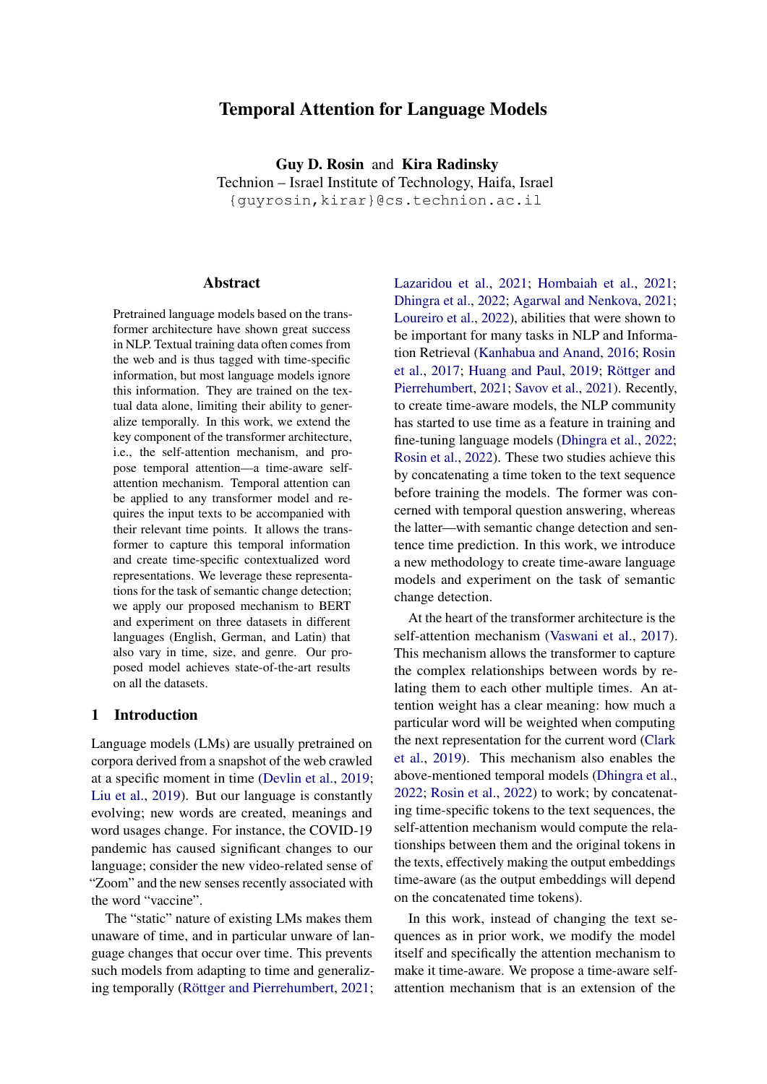# Temporal Attention for Language Models

Guy D. Rosin and Kira Radinsky Technion – Israel Institute of Technology, Haifa, Israel {guyrosin,kirar}@cs.technion.ac.il

#### Abstract

Pretrained language models based on the transformer architecture have shown great success in NLP. Textual training data often comes from the web and is thus tagged with time-specific information, but most language models ignore this information. They are trained on the textual data alone, limiting their ability to generalize temporally. In this work, we extend the key component of the transformer architecture, i.e., the self-attention mechanism, and propose temporal attention—a time-aware selfattention mechanism. Temporal attention can be applied to any transformer model and requires the input texts to be accompanied with their relevant time points. It allows the transformer to capture this temporal information and create time-specific contextualized word representations. We leverage these representations for the task of semantic change detection; we apply our proposed mechanism to BERT and experiment on three datasets in different languages (English, German, and Latin) that also vary in time, size, and genre. Our proposed model achieves state-of-the-art results on all the datasets.

#### 1 Introduction

Language models (LMs) are usually pretrained on corpora derived from a snapshot of the web crawled at a specific moment in time [\(Devlin et al.,](#page-8-0) [2019;](#page-8-0) [Liu et al.,](#page-9-0) [2019\)](#page-9-0). But our language is constantly evolving; new words are created, meanings and word usages change. For instance, the COVID-19 pandemic has caused significant changes to our language; consider the new video-related sense of "Zoom" and the new senses recently associated with the word "vaccine".

The "static" nature of existing LMs makes them unaware of time, and in particular unware of language changes that occur over time. This prevents such models from adapting to time and generalizing temporally [\(Röttger and Pierrehumbert,](#page-10-0) [2021;](#page-10-0) [Lazaridou et al.,](#page-9-1) [2021;](#page-9-1) [Hombaiah et al.,](#page-9-2) [2021;](#page-9-2) [Dhingra et al.,](#page-8-1) [2022;](#page-8-1) [Agarwal and Nenkova,](#page-8-2) [2021;](#page-8-2) [Loureiro et al.,](#page-9-3) [2022\)](#page-9-3), abilities that were shown to be important for many tasks in NLP and Information Retrieval [\(Kanhabua and Anand,](#page-9-4) [2016;](#page-9-4) [Rosin](#page-10-1) [et al.,](#page-10-1) [2017;](#page-10-1) [Huang and Paul,](#page-9-5) [2019;](#page-9-5) [Röttger and](#page-10-0) [Pierrehumbert,](#page-10-0) [2021;](#page-10-0) [Savov et al.,](#page-10-2) [2021\)](#page-10-2). Recently, to create time-aware models, the NLP community has started to use time as a feature in training and fine-tuning language models [\(Dhingra et al.,](#page-8-1) [2022;](#page-8-1) [Rosin et al.,](#page-10-3) [2022\)](#page-10-3). These two studies achieve this by concatenating a time token to the text sequence before training the models. The former was concerned with temporal question answering, whereas the latter—with semantic change detection and sentence time prediction. In this work, we introduce a new methodology to create time-aware language models and experiment on the task of semantic change detection.

At the heart of the transformer architecture is the self-attention mechanism [\(Vaswani et al.,](#page-10-4) [2017\)](#page-10-4). This mechanism allows the transformer to capture the complex relationships between words by relating them to each other multiple times. An attention weight has a clear meaning: how much a particular word will be weighted when computing the next representation for the current word [\(Clark](#page-8-3) [et al.,](#page-8-3) [2019\)](#page-8-3). This mechanism also enables the above-mentioned temporal models [\(Dhingra et al.,](#page-8-1) [2022;](#page-8-1) [Rosin et al.,](#page-10-3) [2022\)](#page-10-3) to work; by concatenating time-specific tokens to the text sequences, the self-attention mechanism would compute the relationships between them and the original tokens in the texts, effectively making the output embeddings time-aware (as the output embeddings will depend on the concatenated time tokens).

In this work, instead of changing the text sequences as in prior work, we modify the model itself and specifically the attention mechanism to make it time-aware. We propose a time-aware selfattention mechanism that is an extension of the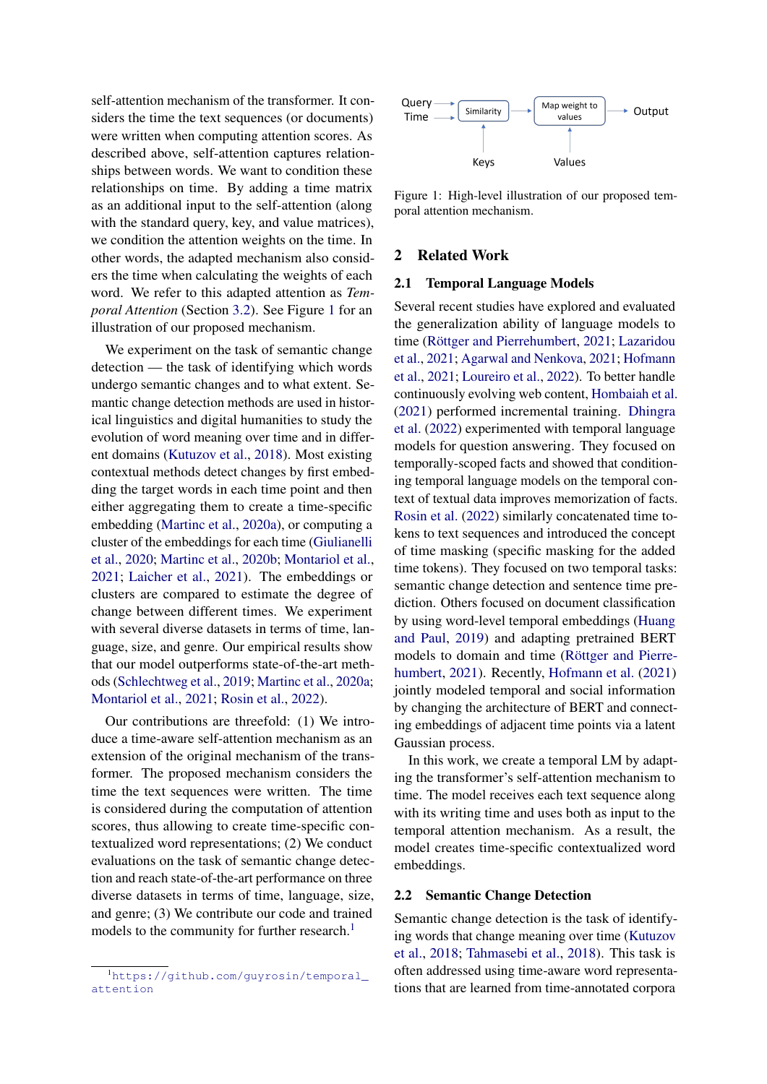self-attention mechanism of the transformer. It considers the time the text sequences (or documents) were written when computing attention scores. As described above, self-attention captures relationships between words. We want to condition these relationships on time. By adding a time matrix as an additional input to the self-attention (along with the standard query, key, and value matrices), we condition the attention weights on the time. In other words, the adapted mechanism also considers the time when calculating the weights of each word. We refer to this adapted attention as *Temporal Attention* (Section [3.2\)](#page-2-0). See Figure [1](#page-1-0) for an illustration of our proposed mechanism.

We experiment on the task of semantic change detection — the task of identifying which words undergo semantic changes and to what extent. Semantic change detection methods are used in historical linguistics and digital humanities to study the evolution of word meaning over time and in different domains [\(Kutuzov et al.,](#page-9-6) [2018\)](#page-9-6). Most existing contextual methods detect changes by first embedding the target words in each time point and then either aggregating them to create a time-specific embedding [\(Martinc et al.,](#page-9-7) [2020a\)](#page-9-7), or computing a cluster of the embeddings for each time [\(Giulianelli](#page-8-4) [et al.,](#page-8-4) [2020;](#page-8-4) [Martinc et al.,](#page-9-8) [2020b;](#page-9-8) [Montariol et al.,](#page-9-9) [2021;](#page-9-9) [Laicher et al.,](#page-9-10) [2021\)](#page-9-10). The embeddings or clusters are compared to estimate the degree of change between different times. We experiment with several diverse datasets in terms of time, language, size, and genre. Our empirical results show that our model outperforms state-of-the-art methods [\(Schlechtweg et al.,](#page-10-5) [2019;](#page-10-5) [Martinc et al.,](#page-9-7) [2020a;](#page-9-7) [Montariol et al.,](#page-9-9) [2021;](#page-9-9) [Rosin et al.,](#page-10-3) [2022\)](#page-10-3).

Our contributions are threefold: (1) We introduce a time-aware self-attention mechanism as an extension of the original mechanism of the transformer. The proposed mechanism considers the time the text sequences were written. The time is considered during the computation of attention scores, thus allowing to create time-specific contextualized word representations; (2) We conduct evaluations on the task of semantic change detection and reach state-of-the-art performance on three diverse datasets in terms of time, language, size, and genre; (3) We contribute our code and trained models to the community for further research.<sup>[1](#page-1-1)</sup>

<span id="page-1-1"></span>

<span id="page-1-0"></span>

Figure 1: High-level illustration of our proposed temporal attention mechanism.

## 2 Related Work

#### 2.1 Temporal Language Models

Several recent studies have explored and evaluated the generalization ability of language models to time [\(Röttger and Pierrehumbert,](#page-10-0) [2021;](#page-10-0) [Lazaridou](#page-9-1) [et al.,](#page-9-1) [2021;](#page-9-1) [Agarwal and Nenkova,](#page-8-2) [2021;](#page-8-2) [Hofmann](#page-9-11) [et al.,](#page-9-11) [2021;](#page-9-11) [Loureiro et al.,](#page-9-3) [2022\)](#page-9-3). To better handle continuously evolving web content, [Hombaiah et al.](#page-9-2) [\(2021\)](#page-9-2) performed incremental training. [Dhingra](#page-8-1) [et al.](#page-8-1) [\(2022\)](#page-8-1) experimented with temporal language models for question answering. They focused on temporally-scoped facts and showed that conditioning temporal language models on the temporal context of textual data improves memorization of facts. [Rosin et al.](#page-10-3) [\(2022\)](#page-10-3) similarly concatenated time tokens to text sequences and introduced the concept of time masking (specific masking for the added time tokens). They focused on two temporal tasks: semantic change detection and sentence time prediction. Others focused on document classification by using word-level temporal embeddings [\(Huang](#page-9-5) [and Paul,](#page-9-5) [2019\)](#page-9-5) and adapting pretrained BERT models to domain and time [\(Röttger and Pierre](#page-10-0)[humbert,](#page-10-0) [2021\)](#page-10-0). Recently, [Hofmann et al.](#page-9-11) [\(2021\)](#page-9-11) jointly modeled temporal and social information by changing the architecture of BERT and connecting embeddings of adjacent time points via a latent Gaussian process.

In this work, we create a temporal LM by adapting the transformer's self-attention mechanism to time. The model receives each text sequence along with its writing time and uses both as input to the temporal attention mechanism. As a result, the model creates time-specific contextualized word embeddings.

## 2.2 Semantic Change Detection

Semantic change detection is the task of identifying words that change meaning over time [\(Kutuzov](#page-9-6) [et al.,](#page-9-6) [2018;](#page-9-6) [Tahmasebi et al.,](#page-10-6) [2018\)](#page-10-6). This task is often addressed using time-aware word representations that are learned from time-annotated corpora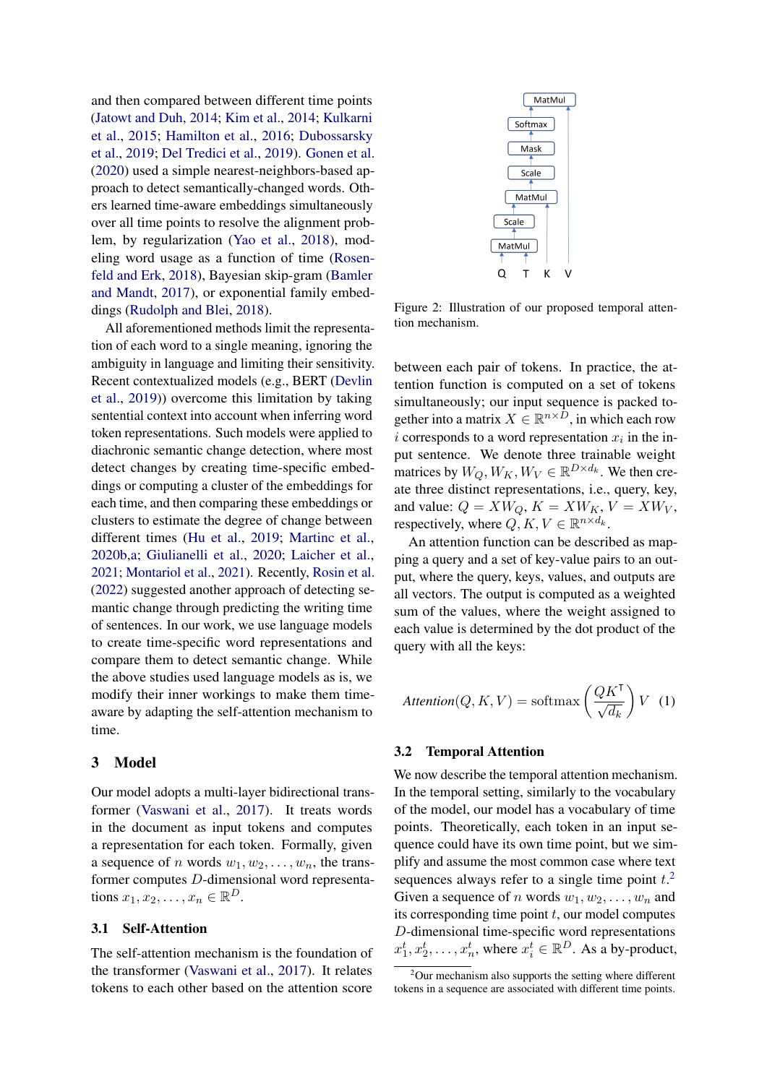and then compared between different time points [\(Jatowt and Duh,](#page-9-12) [2014;](#page-9-12) [Kim et al.,](#page-9-13) [2014;](#page-9-13) [Kulkarni](#page-9-14) [et al.,](#page-9-14) [2015;](#page-9-14) [Hamilton et al.,](#page-9-15) [2016;](#page-9-15) [Dubossarsky](#page-8-5) [et al.,](#page-8-5) [2019;](#page-8-5) [Del Tredici et al.,](#page-8-6) [2019\)](#page-8-6). [Gonen et al.](#page-9-16) [\(2020\)](#page-9-16) used a simple nearest-neighbors-based approach to detect semantically-changed words. Others learned time-aware embeddings simultaneously over all time points to resolve the alignment problem, by regularization [\(Yao et al.,](#page-10-7) [2018\)](#page-10-7), modeling word usage as a function of time [\(Rosen](#page-10-8)[feld and Erk,](#page-10-8) [2018\)](#page-10-8), Bayesian skip-gram [\(Bamler](#page-8-7) [and Mandt,](#page-8-7) [2017\)](#page-8-7), or exponential family embeddings [\(Rudolph and Blei,](#page-10-9) [2018\)](#page-10-9).

All aforementioned methods limit the representation of each word to a single meaning, ignoring the ambiguity in language and limiting their sensitivity. Recent contextualized models (e.g., BERT [\(Devlin](#page-8-0) [et al.,](#page-8-0) [2019\)](#page-8-0)) overcome this limitation by taking sentential context into account when inferring word token representations. Such models were applied to diachronic semantic change detection, where most detect changes by creating time-specific embeddings or computing a cluster of the embeddings for each time, and then comparing these embeddings or clusters to estimate the degree of change between different times [\(Hu et al.,](#page-9-17) [2019;](#page-9-17) [Martinc et al.,](#page-9-8) [2020b](#page-9-8)[,a;](#page-9-7) [Giulianelli et al.,](#page-8-4) [2020;](#page-8-4) [Laicher et al.,](#page-9-10) [2021;](#page-9-10) [Montariol et al.,](#page-9-9) [2021\)](#page-9-9). Recently, [Rosin et al.](#page-10-3) [\(2022\)](#page-10-3) suggested another approach of detecting semantic change through predicting the writing time of sentences. In our work, we use language models to create time-specific word representations and compare them to detect semantic change. While the above studies used language models as is, we modify their inner workings to make them timeaware by adapting the self-attention mechanism to time.

## 3 Model

Our model adopts a multi-layer bidirectional transformer [\(Vaswani et al.,](#page-10-4) [2017\)](#page-10-4). It treats words in the document as input tokens and computes a representation for each token. Formally, given a sequence of n words  $w_1, w_2, \ldots, w_n$ , the transformer computes D-dimensional word representations  $x_1, x_2, \ldots, x_n \in \mathbb{R}^D$ .

## <span id="page-2-2"></span>3.1 Self-Attention

The self-attention mechanism is the foundation of the transformer [\(Vaswani et al.,](#page-10-4) [2017\)](#page-10-4). It relates tokens to each other based on the attention score



Figure 2: Illustration of our proposed temporal attention mechanism.

between each pair of tokens. In practice, the attention function is computed on a set of tokens simultaneously; our input sequence is packed together into a matrix  $X \in \mathbb{R}^{n \times \bar{D}}$ , in which each row i corresponds to a word representation  $x_i$  in the input sentence. We denote three trainable weight matrices by  $W_Q, W_K, W_V \in \mathbb{R}^{D \times d_k}$ . We then create three distinct representations, i.e., query, key, and value:  $Q = XW_Q$ ,  $K = XW_K$ ,  $V = XW_V$ , respectively, where  $Q, K, V \in \mathbb{R}^{n \times d_k}$ .

An attention function can be described as mapping a query and a set of key-value pairs to an output, where the query, keys, values, and outputs are all vectors. The output is computed as a weighted sum of the values, where the weight assigned to each value is determined by the dot product of the query with all the keys:

$$
Attention(Q, K, V) = softmax\left(\frac{QK^{\mathsf{T}}}{\sqrt{d_k}}\right) V \tag{1}
$$

## <span id="page-2-0"></span>3.2 Temporal Attention

We now describe the temporal attention mechanism. In the temporal setting, similarly to the vocabulary of the model, our model has a vocabulary of time points. Theoretically, each token in an input sequence could have its own time point, but we simplify and assume the most common case where text sequences always refer to a single time point  $t$ <sup>[2](#page-2-1)</sup>. Given a sequence of n words  $w_1, w_2, \ldots, w_n$  and its corresponding time point  $t$ , our model computes D-dimensional time-specific word representations  $x_1^t, x_2^t, \ldots, x_n^t$ , where  $x_i^t \in \mathbb{R}^D$ . As a by-product,

<span id="page-2-1"></span> $2$ Our mechanism also supports the setting where different tokens in a sequence are associated with different time points.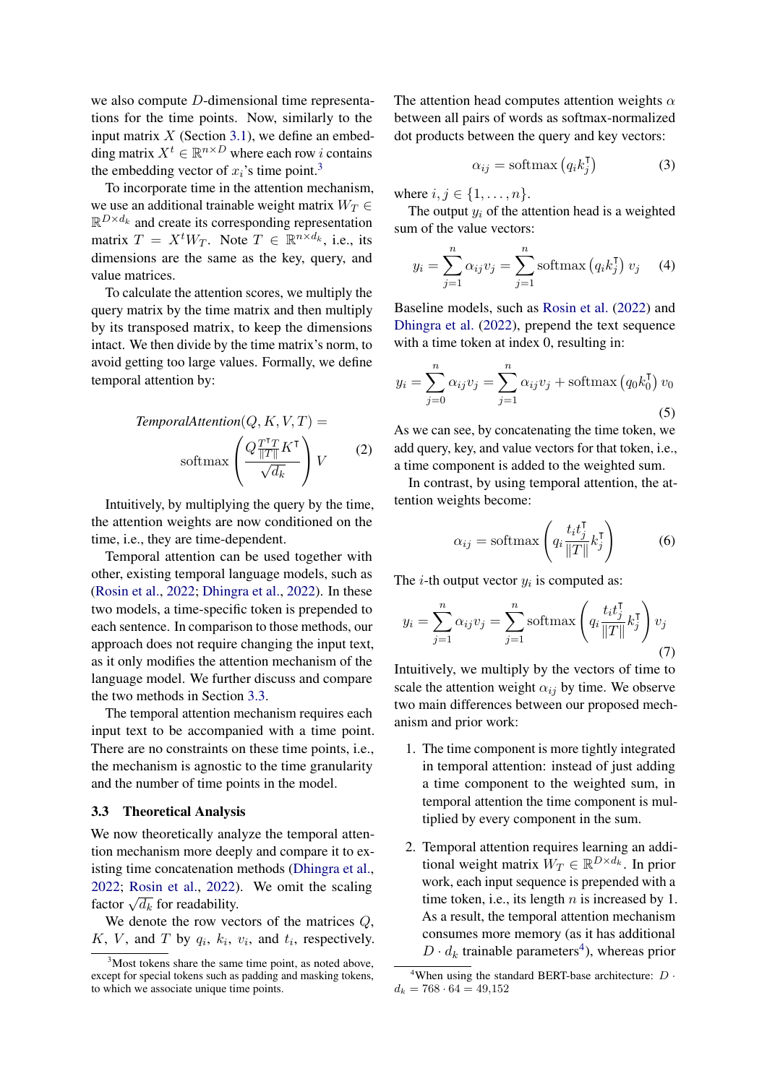we also compute D-dimensional time representations for the time points. Now, similarly to the input matrix  $X$  (Section [3.1\)](#page-2-2), we define an embedding matrix  $X^t \in \mathbb{R}^{n \times D}$  where each row *i* contains the embedding vector of  $x_i$ 's time point.<sup>[3](#page-3-0)</sup>

To incorporate time in the attention mechanism, we use an additional trainable weight matrix  $W_T \in$  $\mathbb{R}^{D \times d_k}$  and create its corresponding representation matrix  $T = X^t W_T$ . Note  $T \in \mathbb{R}^{n \times d_k}$ , i.e., its dimensions are the same as the key, query, and value matrices.

To calculate the attention scores, we multiply the query matrix by the time matrix and then multiply by its transposed matrix, to keep the dimensions intact. We then divide by the time matrix's norm, to avoid getting too large values. Formally, we define temporal attention by:

$$
TemporalAttention(Q, K, V, T) =
$$
\n
$$
\text{softmax}\left(\frac{Q \frac{T^{\mathsf{T}} T}{\|T\|} K^{\mathsf{T}}}{\sqrt{d_k}}\right) V \tag{2}
$$

Intuitively, by multiplying the query by the time, the attention weights are now conditioned on the time, i.e., they are time-dependent.

Temporal attention can be used together with other, existing temporal language models, such as [\(Rosin et al.,](#page-10-3) [2022;](#page-10-3) [Dhingra et al.,](#page-8-1) [2022\)](#page-8-1). In these two models, a time-specific token is prepended to each sentence. In comparison to those methods, our approach does not require changing the input text, as it only modifies the attention mechanism of the language model. We further discuss and compare the two methods in Section [3.3.](#page-3-1)

The temporal attention mechanism requires each input text to be accompanied with a time point. There are no constraints on these time points, i.e., the mechanism is agnostic to the time granularity and the number of time points in the model.

#### <span id="page-3-1"></span>3.3 Theoretical Analysis

We now theoretically analyze the temporal attention mechanism more deeply and compare it to existing time concatenation methods [\(Dhingra et al.,](#page-8-1) [2022;](#page-8-1) [Rosin et al.,](#page-10-3) [2022\)](#page-10-3). We omit the scaling 2022, Nosin et al., 2022)<br>factor  $\sqrt{d_k}$  for readability.

We denote the row vectors of the matrices  $Q$ ,  $K$ ,  $V$ , and  $T$  by  $q_i$ ,  $k_i$ ,  $v_i$ , and  $t_i$ , respectively. The attention head computes attention weights  $\alpha$ between all pairs of words as softmax-normalized dot products between the query and key vectors:

$$
\alpha_{ij} = \text{softmax}\left(q_i k_j^{\mathsf{T}}\right) \tag{3}
$$

where  $i, j \in \{1, ..., n\}$ .

The output  $y_i$  of the attention head is a weighted sum of the value vectors:

$$
y_i = \sum_{j=1}^n \alpha_{ij} v_j = \sum_{j=1}^n \operatorname{softmax}(q_i k_j^{\mathsf{T}}) v_j \quad (4)
$$

Baseline models, such as [Rosin et al.](#page-10-3) [\(2022\)](#page-10-3) and [Dhingra et al.](#page-8-1) [\(2022\)](#page-8-1), prepend the text sequence with a time token at index 0, resulting in:

$$
y_i = \sum_{j=0}^{n} \alpha_{ij} v_j = \sum_{j=1}^{n} \alpha_{ij} v_j + \text{softmax}(q_0 k_0^{\mathsf{T}}) v_0
$$
\n(5)

As we can see, by concatenating the time token, we add query, key, and value vectors for that token, i.e., a time component is added to the weighted sum.

In contrast, by using temporal attention, the attention weights become:

$$
\alpha_{ij} = \text{softmax}\left(q_i \frac{t_i t_j^{\mathsf{T}}}{\|T\|} k_j^{\mathsf{T}}\right) \tag{6}
$$

The *i*-th output vector  $y_i$  is computed as:

$$
y_i = \sum_{j=1}^n \alpha_{ij} v_j = \sum_{j=1}^n \operatorname{softmax}\left(q_i \frac{t_i t_j^{\mathsf{T}}}{\|T\|} k_j^{\mathsf{T}}\right) v_j
$$
\n(7)

Intuitively, we multiply by the vectors of time to scale the attention weight  $\alpha_{ij}$  by time. We observe two main differences between our proposed mechanism and prior work:

- 1. The time component is more tightly integrated in temporal attention: instead of just adding a time component to the weighted sum, in temporal attention the time component is multiplied by every component in the sum.
- 2. Temporal attention requires learning an additional weight matrix  $W_T \in \mathbb{R}^{D \times d_k}$ . In prior work, each input sequence is prepended with a time token, i.e., its length  $n$  is increased by 1. As a result, the temporal attention mechanism consumes more memory (as it has additional  $D \cdot d_k$  trainable parameters<sup>[4](#page-3-2)</sup>), whereas prior

<span id="page-3-0"></span><sup>&</sup>lt;sup>3</sup>Most tokens share the same time point, as noted above, except for special tokens such as padding and masking tokens, to which we associate unique time points.

<span id="page-3-2"></span><sup>&</sup>lt;sup>4</sup>When using the standard BERT-base architecture:  $D \cdot$  $d_k = 768 \cdot 64 = 49{,}152$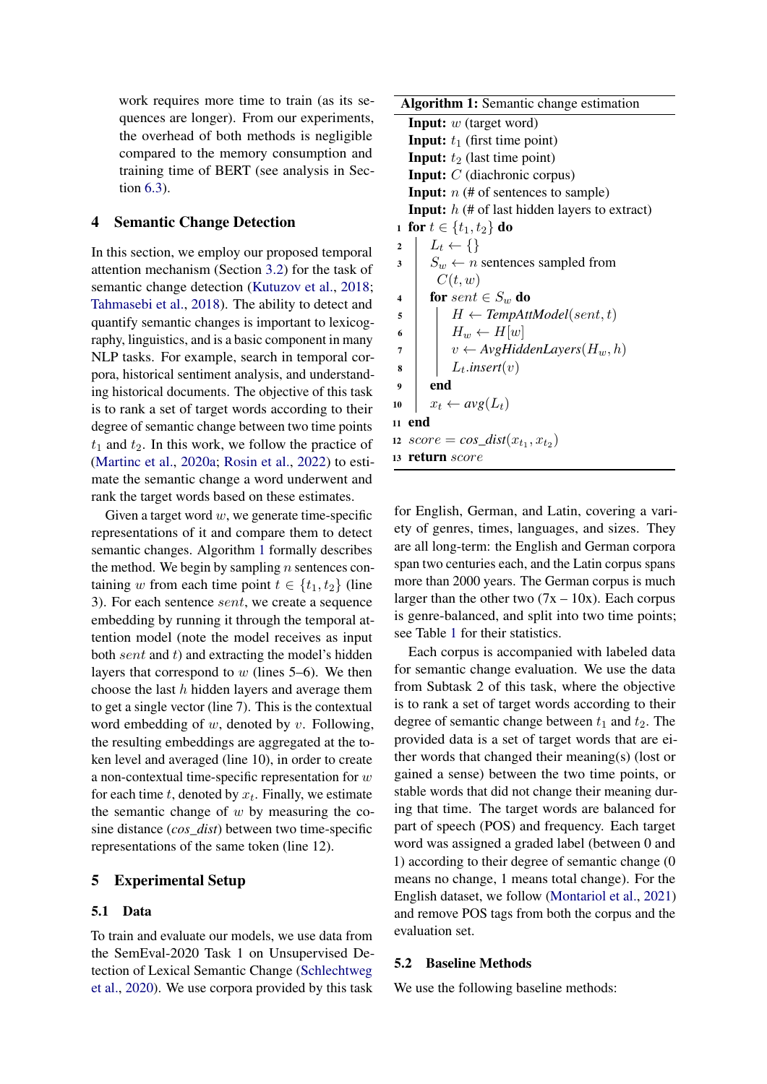work requires more time to train (as its sequences are longer). From our experiments, the overhead of both methods is negligible compared to the memory consumption and training time of BERT (see analysis in Section [6.3\)](#page-6-0).

# <span id="page-4-1"></span>4 Semantic Change Detection

In this section, we employ our proposed temporal attention mechanism (Section [3.2\)](#page-2-0) for the task of semantic change detection [\(Kutuzov et al.,](#page-9-6) [2018;](#page-9-6) [Tahmasebi et al.,](#page-10-6) [2018\)](#page-10-6). The ability to detect and quantify semantic changes is important to lexicography, linguistics, and is a basic component in many NLP tasks. For example, search in temporal corpora, historical sentiment analysis, and understanding historical documents. The objective of this task is to rank a set of target words according to their degree of semantic change between two time points  $t_1$  and  $t_2$ . In this work, we follow the practice of [\(Martinc et al.,](#page-9-7) [2020a;](#page-9-7) [Rosin et al.,](#page-10-3) [2022\)](#page-10-3) to estimate the semantic change a word underwent and rank the target words based on these estimates.

Given a target word  $w$ , we generate time-specific representations of it and compare them to detect semantic changes. Algorithm [1](#page-4-0) formally describes the method. We begin by sampling  $n$  sentences containing w from each time point  $t \in \{t_1, t_2\}$  (line 3). For each sentence sent, we create a sequence embedding by running it through the temporal attention model (note the model receives as input both  $sent$  and  $t$ ) and extracting the model's hidden layers that correspond to  $w$  (lines 5–6). We then choose the last  $h$  hidden layers and average them to get a single vector (line 7). This is the contextual word embedding of  $w$ , denoted by  $v$ . Following, the resulting embeddings are aggregated at the token level and averaged (line 10), in order to create a non-contextual time-specific representation for  $w$ for each time  $t$ , denoted by  $x_t$ . Finally, we estimate the semantic change of  $w$  by measuring the cosine distance (*cos\_dist*) between two time-specific representations of the same token (line 12).

# 5 Experimental Setup

## <span id="page-4-2"></span>5.1 Data

To train and evaluate our models, we use data from the SemEval-2020 Task 1 on Unsupervised Detection of Lexical Semantic Change [\(Schlechtweg](#page-10-10) [et al.,](#page-10-10) [2020\)](#page-10-10). We use corpora provided by this task

| <b>Algorithm 1:</b> Semantic change estimation              |
|-------------------------------------------------------------|
| <b>Input:</b> $w$ (target word)                             |
| <b>Input:</b> $t_1$ (first time point)                      |
| <b>Input:</b> $t_2$ (last time point)                       |
| <b>Input:</b> $C$ (diachronic corpus)                       |
| <b>Input:</b> $n$ (# of sentences to sample)                |
| <b>Input:</b> $h$ (# of last hidden layers to extract)      |
| 1 for $t \in \{t_1, t_2\}$ do                               |
| $L_t \leftarrow \{\}$<br>$\overline{2}$                     |
| $S_w \leftarrow n$ sentences sampled from<br>3              |
| C(t, w)                                                     |
| for sent $\in S_w$ do<br>4                                  |
| $H \leftarrow TempAttModel(sent, t)$<br>5                   |
| $H_w \leftarrow H[w]$<br>6                                  |
| $v \leftarrow$ AvgHiddenLayers $(H_w, h)$<br>$\overline{7}$ |
| $L_t.insert(v)$<br>8                                        |
| end<br>9                                                    |
| $x_t \leftarrow avg(L_t)$<br>10                             |
| end<br>11                                                   |
| $score = cos\_dist(x_{t_1}, x_{t_2})$<br>12                 |
| return score<br>13                                          |

<span id="page-4-0"></span>for English, German, and Latin, covering a variety of genres, times, languages, and sizes. They are all long-term: the English and German corpora span two centuries each, and the Latin corpus spans more than 2000 years. The German corpus is much larger than the other two  $(7x - 10x)$ . Each corpus is genre-balanced, and split into two time points; see Table [1](#page-5-0) for their statistics.

Each corpus is accompanied with labeled data for semantic change evaluation. We use the data from Subtask 2 of this task, where the objective is to rank a set of target words according to their degree of semantic change between  $t_1$  and  $t_2$ . The provided data is a set of target words that are either words that changed their meaning(s) (lost or gained a sense) between the two time points, or stable words that did not change their meaning during that time. The target words are balanced for part of speech (POS) and frequency. Each target word was assigned a graded label (between 0 and 1) according to their degree of semantic change (0 means no change, 1 means total change). For the English dataset, we follow [\(Montariol et al.,](#page-9-9) [2021\)](#page-9-9) and remove POS tags from both the corpus and the evaluation set.

### 5.2 Baseline Methods

We use the following baseline methods: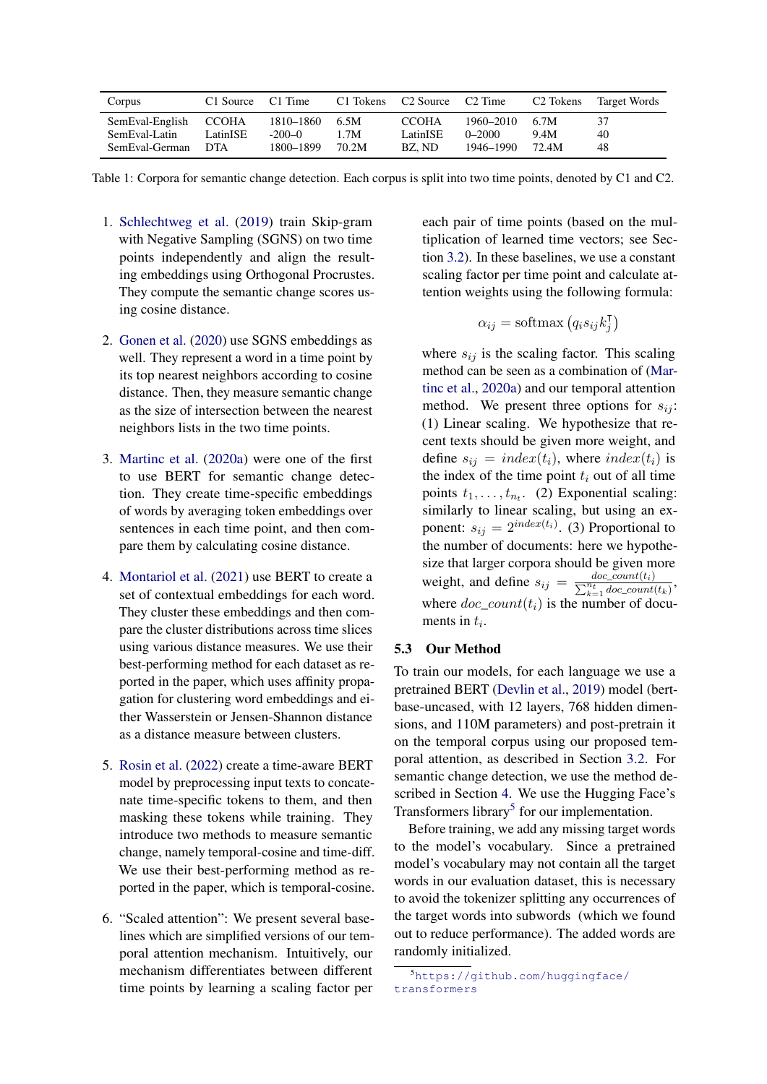<span id="page-5-0"></span>

| Corpus          | C1 Source  | C1 Time   | C1 Tokens | C <sub>2</sub> Source | C2 Time    | C <sub>2</sub> Tokens | Target Words |
|-----------------|------------|-----------|-----------|-----------------------|------------|-----------------------|--------------|
| SemEval-English | CCOHA      | 1810–1860 | 6.5M      | <b>CCOHA</b>          | 1960–2010  | 6.7M                  | 37           |
| SemEval-Latin   | LatinISE   | $-200-0$  | 1.7M      | LatinISE              | $0 - 2000$ | 9.4M                  | 40           |
| SemEval-German  | <b>DTA</b> | 1800–1899 | 70.2M     | BZ. ND                | 1946–1990  | 72.4M                 | 48           |

Table 1: Corpora for semantic change detection. Each corpus is split into two time points, denoted by C1 and C2.

- 1. [Schlechtweg et al.](#page-10-5) [\(2019\)](#page-10-5) train Skip-gram with Negative Sampling (SGNS) on two time points independently and align the resulting embeddings using Orthogonal Procrustes. They compute the semantic change scores using cosine distance.
- 2. [Gonen et al.](#page-9-16) [\(2020\)](#page-9-16) use SGNS embeddings as well. They represent a word in a time point by its top nearest neighbors according to cosine distance. Then, they measure semantic change as the size of intersection between the nearest neighbors lists in the two time points.
- 3. [Martinc et al.](#page-9-7) [\(2020a\)](#page-9-7) were one of the first to use BERT for semantic change detection. They create time-specific embeddings of words by averaging token embeddings over sentences in each time point, and then compare them by calculating cosine distance.
- 4. [Montariol et al.](#page-9-9) [\(2021\)](#page-9-9) use BERT to create a set of contextual embeddings for each word. They cluster these embeddings and then compare the cluster distributions across time slices using various distance measures. We use their best-performing method for each dataset as reported in the paper, which uses affinity propagation for clustering word embeddings and either Wasserstein or Jensen-Shannon distance as a distance measure between clusters.
- 5. [Rosin et al.](#page-10-3) [\(2022\)](#page-10-3) create a time-aware BERT model by preprocessing input texts to concatenate time-specific tokens to them, and then masking these tokens while training. They introduce two methods to measure semantic change, namely temporal-cosine and time-diff. We use their best-performing method as reported in the paper, which is temporal-cosine.
- 6. "Scaled attention": We present several baselines which are simplified versions of our temporal attention mechanism. Intuitively, our mechanism differentiates between different time points by learning a scaling factor per

each pair of time points (based on the multiplication of learned time vectors; see Section [3.2\)](#page-2-0). In these baselines, we use a constant scaling factor per time point and calculate attention weights using the following formula:

$$
\alpha_{ij} = \text{softmax}\left(q_i s_{ij} k_j^{\mathsf{T}}\right)
$$

where  $s_{ij}$  is the scaling factor. This scaling method can be seen as a combination of [\(Mar](#page-9-7)[tinc et al.,](#page-9-7) [2020a\)](#page-9-7) and our temporal attention method. We present three options for  $s_{ij}$ : (1) Linear scaling. We hypothesize that recent texts should be given more weight, and define  $s_{ij} = index(t_i)$ , where  $index(t_i)$  is the index of the time point  $t_i$  out of all time points  $t_1, \ldots, t_{n_t}$ . (2) Exponential scaling: similarly to linear scaling, but using an exponent:  $s_{ij} = 2^{index(t_i)}$ . (3) Proportional to the number of documents: here we hypothesize that larger corpora should be given more weight, and define  $s_{ij} = \frac{doc\_count(t_i)}{\sum_{k=1}^{n_i} doc\_count(t_k)}$ , where  $doc\_count(t_i)$  is the number of documents in  $t_i$ .

## 5.3 Our Method

To train our models, for each language we use a pretrained BERT [\(Devlin et al.,](#page-8-0) [2019\)](#page-8-0) model (bertbase-uncased, with 12 layers, 768 hidden dimensions, and 110M parameters) and post-pretrain it on the temporal corpus using our proposed temporal attention, as described in Section [3.2.](#page-2-0) For semantic change detection, we use the method described in Section [4.](#page-4-1) We use the Hugging Face's Transformers library<sup>[5](#page-5-1)</sup> for our implementation.

Before training, we add any missing target words to the model's vocabulary. Since a pretrained model's vocabulary may not contain all the target words in our evaluation dataset, this is necessary to avoid the tokenizer splitting any occurrences of the target words into subwords (which we found out to reduce performance). The added words are randomly initialized.

<span id="page-5-1"></span><sup>5</sup>[https://github.com/huggingface/](https://github.com/huggingface/transformers) [transformers](https://github.com/huggingface/transformers)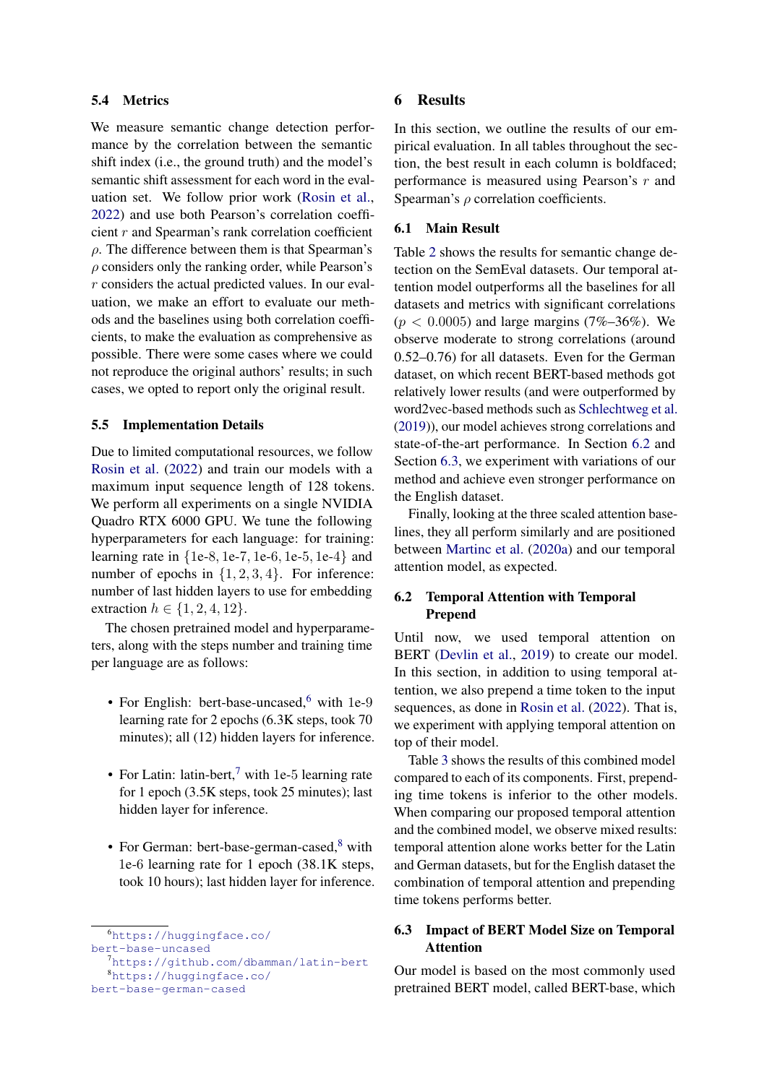## 5.4 Metrics

We measure semantic change detection performance by the correlation between the semantic shift index (i.e., the ground truth) and the model's semantic shift assessment for each word in the evaluation set. We follow prior work [\(Rosin et al.,](#page-10-3) [2022\)](#page-10-3) and use both Pearson's correlation coefficient r and Spearman's rank correlation coefficient  $\rho$ . The difference between them is that Spearman's  $\rho$  considers only the ranking order, while Pearson's r considers the actual predicted values. In our evaluation, we make an effort to evaluate our methods and the baselines using both correlation coefficients, to make the evaluation as comprehensive as possible. There were some cases where we could not reproduce the original authors' results; in such cases, we opted to report only the original result.

#### 5.5 Implementation Details

Due to limited computational resources, we follow [Rosin et al.](#page-10-3) [\(2022\)](#page-10-3) and train our models with a maximum input sequence length of 128 tokens. We perform all experiments on a single NVIDIA Quadro RTX 6000 GPU. We tune the following hyperparameters for each language: for training: learning rate in {1e-8, 1e-7, 1e-6, 1e-5, 1e-4} and number of epochs in  $\{1, 2, 3, 4\}$ . For inference: number of last hidden layers to use for embedding extraction  $h \in \{1, 2, 4, 12\}.$ 

The chosen pretrained model and hyperparameters, along with the steps number and training time per language are as follows:

- For English: bert-base-uncased,<sup>[6](#page-6-1)</sup> with 1e-9 learning rate for 2 epochs (6.3K steps, took 70 minutes); all (12) hidden layers for inference.
- For Latin: latin-bert, $^7$  $^7$  with 1e-5 learning rate for 1 epoch (3.5K steps, took 25 minutes); last hidden layer for inference.
- For German: bert-base-german-cased, $8$  with 1e-6 learning rate for 1 epoch (38.1K steps, took 10 hours); last hidden layer for inference.

<span id="page-6-1"></span><sup>6</sup>[https://huggingface.co/](https://huggingface.co/bert-base-uncased) [bert-base-uncased](https://huggingface.co/bert-base-uncased)

## 6 Results

In this section, we outline the results of our empirical evaluation. In all tables throughout the section, the best result in each column is boldfaced; performance is measured using Pearson's r and Spearman's  $\rho$  correlation coefficients.

### 6.1 Main Result

Table [2](#page-7-0) shows the results for semantic change detection on the SemEval datasets. Our temporal attention model outperforms all the baselines for all datasets and metrics with significant correlations  $(p < 0.0005)$  and large margins (7%–36%). We observe moderate to strong correlations (around 0.52–0.76) for all datasets. Even for the German dataset, on which recent BERT-based methods got relatively lower results (and were outperformed by word2vec-based methods such as [Schlechtweg et al.](#page-10-5) [\(2019\)](#page-10-5)), our model achieves strong correlations and state-of-the-art performance. In Section [6.2](#page-6-4) and Section [6.3,](#page-6-0) we experiment with variations of our method and achieve even stronger performance on the English dataset.

Finally, looking at the three scaled attention baselines, they all perform similarly and are positioned between [Martinc et al.](#page-9-7) [\(2020a\)](#page-9-7) and our temporal attention model, as expected.

# <span id="page-6-4"></span>6.2 Temporal Attention with Temporal Prepend

Until now, we used temporal attention on BERT [\(Devlin et al.,](#page-8-0) [2019\)](#page-8-0) to create our model. In this section, in addition to using temporal attention, we also prepend a time token to the input sequences, as done in [Rosin et al.](#page-10-3) [\(2022\)](#page-10-3). That is, we experiment with applying temporal attention on top of their model.

Table [3](#page-7-1) shows the results of this combined model compared to each of its components. First, prepending time tokens is inferior to the other models. When comparing our proposed temporal attention and the combined model, we observe mixed results: temporal attention alone works better for the Latin and German datasets, but for the English dataset the combination of temporal attention and prepending time tokens performs better.

# <span id="page-6-0"></span>6.3 Impact of BERT Model Size on Temporal Attention

Our model is based on the most commonly used pretrained BERT model, called BERT-base, which

<span id="page-6-3"></span><span id="page-6-2"></span><sup>7</sup><https://github.com/dbamman/latin-bert> <sup>8</sup>[https://huggingface.co/](https://huggingface.co/bert-base-german-cased) [bert-base-german-cased](https://huggingface.co/bert-base-german-cased)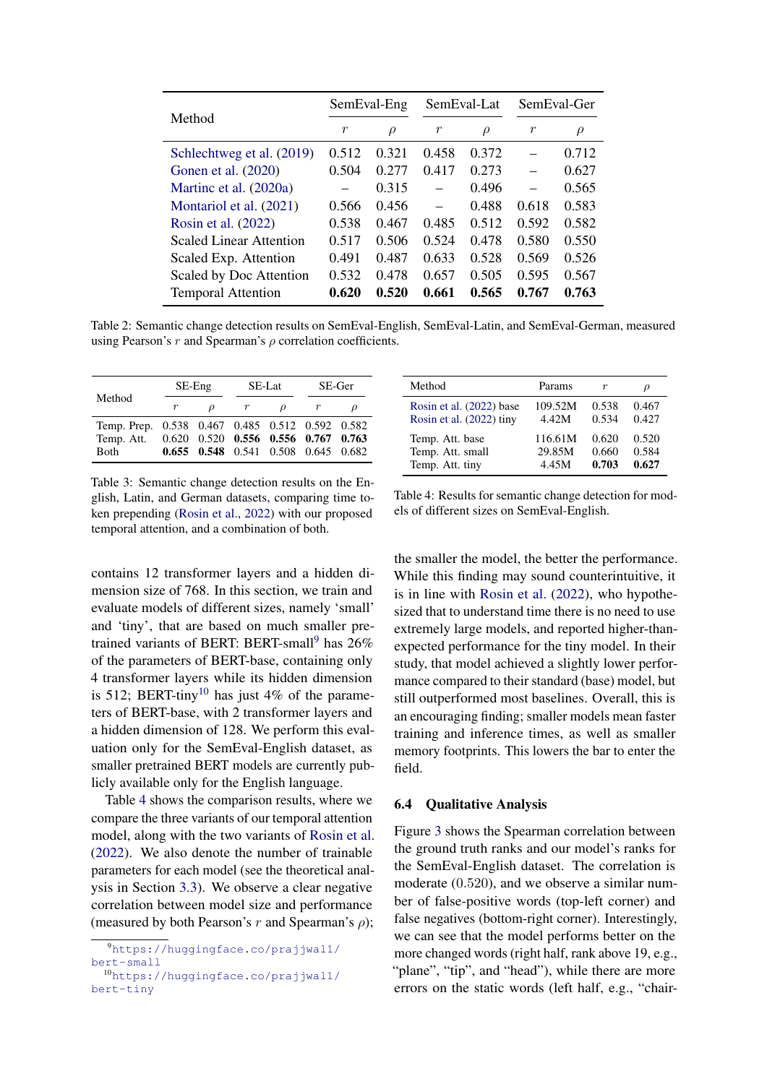<span id="page-7-0"></span>

|                           | SemEval-Eng      |        | SemEval-Lat |        | SemEval-Ger |        |
|---------------------------|------------------|--------|-------------|--------|-------------|--------|
| Method                    | $\boldsymbol{r}$ | $\rho$ | r           | $\rho$ | r           | $\rho$ |
| Schlechtweg et al. (2019) | 0.512            | 0.321  | 0.458       | 0.372  |             | 0.712  |
| Gonen et al. (2020)       | 0.504            | 0.277  | 0.417       | 0.273  |             | 0.627  |
| Martinc et al. (2020a)    |                  | 0.315  |             | 0.496  |             | 0.565  |
| Montariol et al. (2021)   | 0.566            | 0.456  | $\equiv$    | 0.488  | 0.618       | 0.583  |
| Rosin et al. (2022)       | 0.538            | 0.467  | 0.485       | 0.512  | 0.592       | 0.582  |
| Scaled Linear Attention   | 0.517            | 0.506  | 0.524       | 0.478  | 0.580       | 0.550  |
| Scaled Exp. Attention     | 0.491            | 0.487  | 0.633       | 0.528  | 0.569       | 0.526  |
| Scaled by Doc Attention   | 0.532            | 0.478  | 0.657       | 0.505  | 0.595       | 0.567  |
| <b>Temporal Attention</b> | 0.620            | 0.520  | 0.661       | 0.565  | 0.767       | 0.763  |

Table 2: Semantic change detection results on SemEval-English, SemEval-Latin, and SemEval-German, measured using Pearson's r and Spearman's  $\rho$  correlation coefficients.

<span id="page-7-1"></span>

|                                                                                                           | $SE-Eng$ |               | SE-Lat                              | SE-Ger |  |
|-----------------------------------------------------------------------------------------------------------|----------|---------------|-------------------------------------|--------|--|
| Method                                                                                                    |          | $\mathcal{D}$ | D                                   |        |  |
| Temp. Prep. 0.538 0.467 0.485 0.512 0.592 0.582<br>Temp. Att. 0.620 0.520 0.556 0.556 0.767 0.763<br>Both |          |               | 0.655 0.548 0.541 0.508 0.645 0.682 |        |  |

Table 3: Semantic change detection results on the English, Latin, and German datasets, comparing time token prepending [\(Rosin et al.,](#page-10-3) [2022\)](#page-10-3) with our proposed temporal attention, and a combination of both.

contains 12 transformer layers and a hidden dimension size of 768. In this section, we train and evaluate models of different sizes, namely 'small' and 'tiny', that are based on much smaller pre-trained variants of BERT: BERT-small<sup>[9](#page-7-2)</sup> has  $26\%$ of the parameters of BERT-base, containing only 4 transformer layers while its hidden dimension is 512; BERT-tiny<sup>[10](#page-7-3)</sup> has just 4% of the parameters of BERT-base, with 2 transformer layers and a hidden dimension of 128. We perform this evaluation only for the SemEval-English dataset, as smaller pretrained BERT models are currently publicly available only for the English language.

Table [4](#page-7-4) shows the comparison results, where we compare the three variants of our temporal attention model, along with the two variants of [Rosin et al.](#page-10-3) [\(2022\)](#page-10-3). We also denote the number of trainable parameters for each model (see the theoretical analysis in Section [3.3\)](#page-3-1). We observe a clear negative correlation between model size and performance (measured by both Pearson's r and Spearman's  $\rho$ );

<span id="page-7-4"></span>

| Method                   | Params  |       |       |
|--------------------------|---------|-------|-------|
| Rosin et al. (2022) base | 109.52M | 0.538 | 0.467 |
| Rosin et al. (2022) tiny | 4.42M   | 0.534 | 0.427 |
| Temp. Att. base          | 116.61M | 0.620 | 0.520 |
| Temp. Att. small         | 29.85M  | 0.660 | 0.584 |
| Temp. Att. tiny          | 4.45M   | 0.703 | 0.627 |

Table 4: Results for semantic change detection for models of different sizes on SemEval-English.

the smaller the model, the better the performance. While this finding may sound counterintuitive, it is in line with [Rosin et al.](#page-10-3) [\(2022\)](#page-10-3), who hypothesized that to understand time there is no need to use extremely large models, and reported higher-thanexpected performance for the tiny model. In their study, that model achieved a slightly lower performance compared to their standard (base) model, but still outperformed most baselines. Overall, this is an encouraging finding; smaller models mean faster training and inference times, as well as smaller memory footprints. This lowers the bar to enter the field.

#### 6.4 Qualitative Analysis

Figure [3](#page-8-8) shows the Spearman correlation between the ground truth ranks and our model's ranks for the SemEval-English dataset. The correlation is moderate (0.520), and we observe a similar number of false-positive words (top-left corner) and false negatives (bottom-right corner). Interestingly, we can see that the model performs better on the more changed words (right half, rank above 19, e.g., "plane", "tip", and "head"), while there are more errors on the static words (left half, e.g., "chair-

<span id="page-7-2"></span><sup>9</sup>[https://huggingface.co/prajjwal1/](https://huggingface.co/prajjwal1/bert-small) [bert-small](https://huggingface.co/prajjwal1/bert-small)

<span id="page-7-3"></span><sup>10</sup>[https://huggingface.co/prajjwal1/](https://huggingface.co/prajjwal1/bert-tiny) [bert-tiny](https://huggingface.co/prajjwal1/bert-tiny)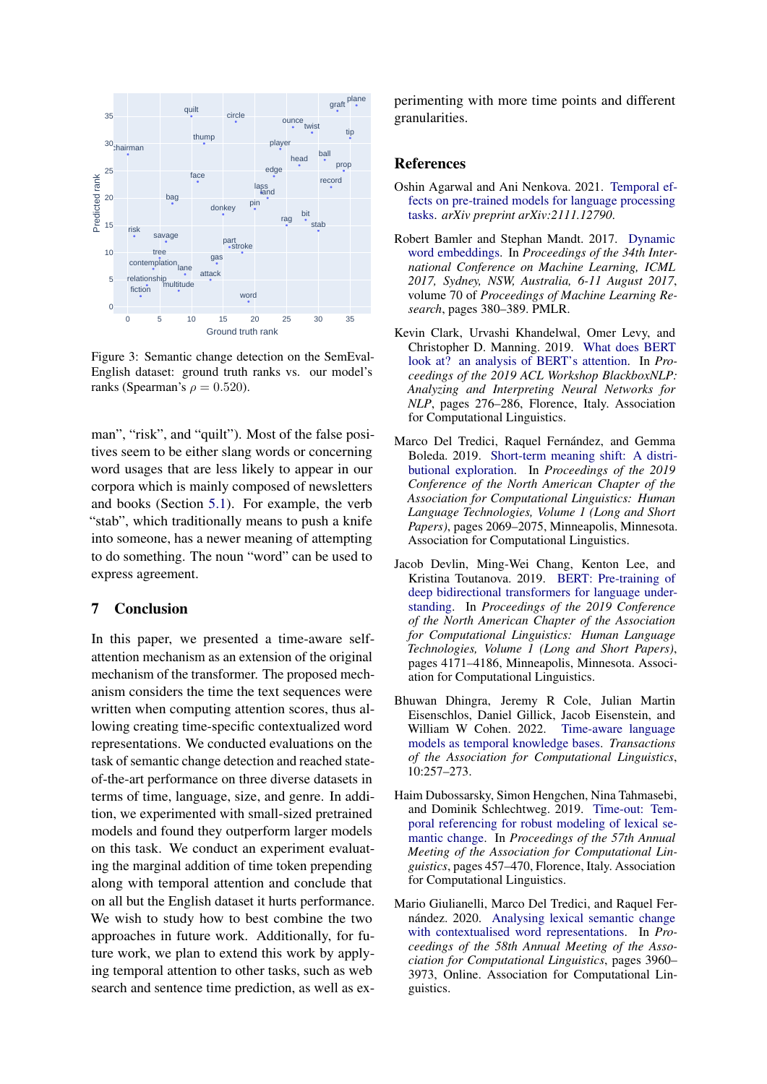<span id="page-8-8"></span>

Figure 3: Semantic change detection on the SemEval-English dataset: ground truth ranks vs. our model's ranks (Spearman's  $\rho = 0.520$ ).

man", "risk", and "quilt"). Most of the false positives seem to be either slang words or concerning word usages that are less likely to appear in our corpora which is mainly composed of newsletters and books (Section [5.1\)](#page-4-2). For example, the verb "stab", which traditionally means to push a knife into someone, has a newer meaning of attempting to do something. The noun "word" can be used to express agreement.

## 7 Conclusion

In this paper, we presented a time-aware selfattention mechanism as an extension of the original mechanism of the transformer. The proposed mechanism considers the time the text sequences were written when computing attention scores, thus allowing creating time-specific contextualized word representations. We conducted evaluations on the task of semantic change detection and reached stateof-the-art performance on three diverse datasets in terms of time, language, size, and genre. In addition, we experimented with small-sized pretrained models and found they outperform larger models on this task. We conduct an experiment evaluating the marginal addition of time token prepending along with temporal attention and conclude that on all but the English dataset it hurts performance. We wish to study how to best combine the two approaches in future work. Additionally, for future work, we plan to extend this work by applying temporal attention to other tasks, such as web search and sentence time prediction, as well as experimenting with more time points and different granularities.

# References

- <span id="page-8-2"></span>Oshin Agarwal and Ani Nenkova. 2021. [Temporal ef](https://arxiv.org/abs/2111.12790)[fects on pre-trained models for language processing](https://arxiv.org/abs/2111.12790) [tasks.](https://arxiv.org/abs/2111.12790) *arXiv preprint arXiv:2111.12790*.
- <span id="page-8-7"></span>Robert Bamler and Stephan Mandt. 2017. [Dynamic](http://proceedings.mlr.press/v70/bamler17a.html) [word embeddings.](http://proceedings.mlr.press/v70/bamler17a.html) In *Proceedings of the 34th International Conference on Machine Learning, ICML 2017, Sydney, NSW, Australia, 6-11 August 2017*, volume 70 of *Proceedings of Machine Learning Research*, pages 380–389. PMLR.
- <span id="page-8-3"></span>Kevin Clark, Urvashi Khandelwal, Omer Levy, and Christopher D. Manning. 2019. [What does BERT](https://aclanthology.org/W19-4828) [look at? an analysis of BERT's attention.](https://aclanthology.org/W19-4828) In *Proceedings of the 2019 ACL Workshop BlackboxNLP: Analyzing and Interpreting Neural Networks for NLP*, pages 276–286, Florence, Italy. Association for Computational Linguistics.
- <span id="page-8-6"></span>Marco Del Tredici, Raquel Fernández, and Gemma Boleda. 2019. [Short-term meaning shift: A distri](https://aclanthology.org/N19-1210)[butional exploration.](https://aclanthology.org/N19-1210) In *Proceedings of the 2019 Conference of the North American Chapter of the Association for Computational Linguistics: Human Language Technologies, Volume 1 (Long and Short Papers)*, pages 2069–2075, Minneapolis, Minnesota. Association for Computational Linguistics.
- <span id="page-8-0"></span>Jacob Devlin, Ming-Wei Chang, Kenton Lee, and Kristina Toutanova. 2019. [BERT: Pre-training of](https://aclanthology.org/N19-1423) [deep bidirectional transformers for language under](https://aclanthology.org/N19-1423)[standing.](https://aclanthology.org/N19-1423) In *Proceedings of the 2019 Conference of the North American Chapter of the Association for Computational Linguistics: Human Language Technologies, Volume 1 (Long and Short Papers)*, pages 4171–4186, Minneapolis, Minnesota. Association for Computational Linguistics.
- <span id="page-8-1"></span>Bhuwan Dhingra, Jeremy R Cole, Julian Martin Eisenschlos, Daniel Gillick, Jacob Eisenstein, and William W Cohen. 2022. [Time-aware language](https://direct.mit.edu/tacl/article/doi/10.1162/tacl_a_00459/110012/Time-Aware-Language-Models-as-Temporal-Knowledge) [models as temporal knowledge bases.](https://direct.mit.edu/tacl/article/doi/10.1162/tacl_a_00459/110012/Time-Aware-Language-Models-as-Temporal-Knowledge) *Transactions of the Association for Computational Linguistics*, 10:257–273.
- <span id="page-8-5"></span>Haim Dubossarsky, Simon Hengchen, Nina Tahmasebi, and Dominik Schlechtweg. 2019. [Time-out: Tem](https://aclanthology.org/P19-1044)[poral referencing for robust modeling of lexical se](https://aclanthology.org/P19-1044)[mantic change.](https://aclanthology.org/P19-1044) In *Proceedings of the 57th Annual Meeting of the Association for Computational Linguistics*, pages 457–470, Florence, Italy. Association for Computational Linguistics.
- <span id="page-8-4"></span>Mario Giulianelli, Marco Del Tredici, and Raquel Fernández. 2020. [Analysing lexical semantic change](https://aclanthology.org/2020.acl-main.365) [with contextualised word representations.](https://aclanthology.org/2020.acl-main.365) In *Proceedings of the 58th Annual Meeting of the Association for Computational Linguistics*, pages 3960– 3973, Online. Association for Computational Linguistics.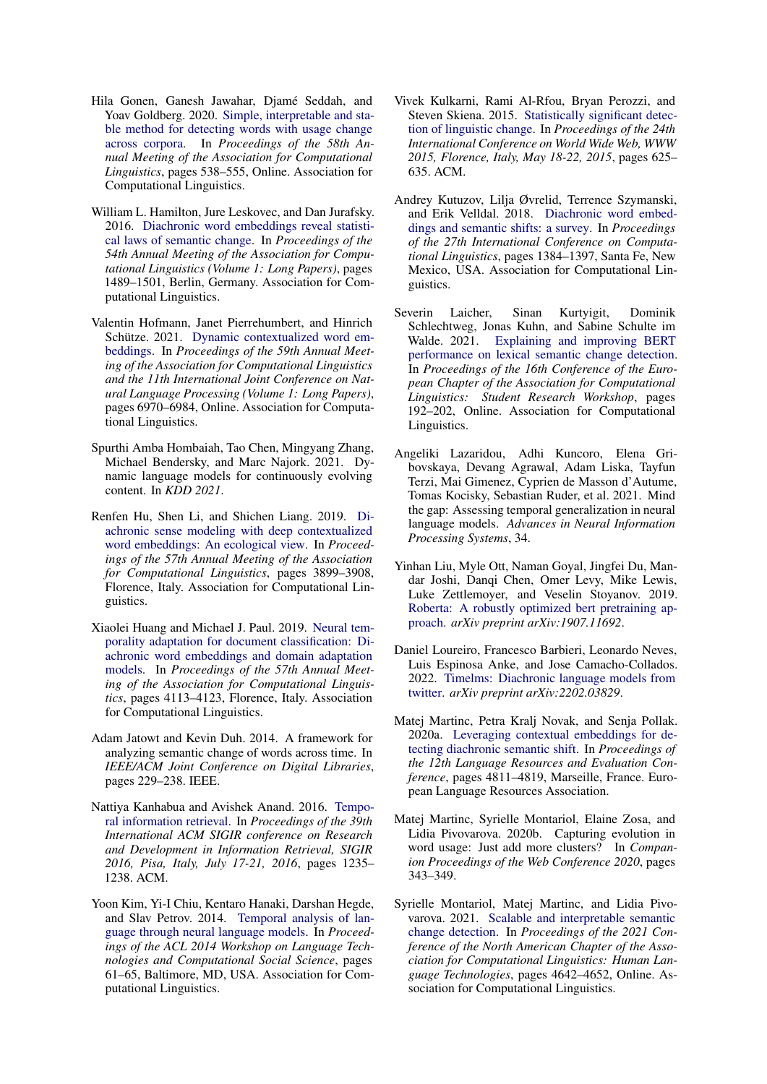- <span id="page-9-16"></span>Hila Gonen, Ganesh Jawahar, Djamé Seddah, and Yoav Goldberg. 2020. [Simple, interpretable and sta](https://aclanthology.org/2020.acl-main.51)[ble method for detecting words with usage change](https://aclanthology.org/2020.acl-main.51) [across corpora.](https://aclanthology.org/2020.acl-main.51) In *Proceedings of the 58th Annual Meeting of the Association for Computational Linguistics*, pages 538–555, Online. Association for Computational Linguistics.
- <span id="page-9-15"></span>William L. Hamilton, Jure Leskovec, and Dan Jurafsky. 2016. [Diachronic word embeddings reveal statisti](https://aclanthology.org/P16-1141)[cal laws of semantic change.](https://aclanthology.org/P16-1141) In *Proceedings of the 54th Annual Meeting of the Association for Computational Linguistics (Volume 1: Long Papers)*, pages 1489–1501, Berlin, Germany. Association for Computational Linguistics.
- <span id="page-9-11"></span>Valentin Hofmann, Janet Pierrehumbert, and Hinrich Schütze. 2021. [Dynamic contextualized word em](https://aclanthology.org/2021.acl-long.542)[beddings.](https://aclanthology.org/2021.acl-long.542) In *Proceedings of the 59th Annual Meeting of the Association for Computational Linguistics and the 11th International Joint Conference on Natural Language Processing (Volume 1: Long Papers)*, pages 6970–6984, Online. Association for Computational Linguistics.
- <span id="page-9-2"></span>Spurthi Amba Hombaiah, Tao Chen, Mingyang Zhang, Michael Bendersky, and Marc Najork. 2021. Dynamic language models for continuously evolving content. In *KDD 2021*.
- <span id="page-9-17"></span>Renfen Hu, Shen Li, and Shichen Liang. 2019. [Di](https://aclanthology.org/P19-1379)[achronic sense modeling with deep contextualized](https://aclanthology.org/P19-1379) [word embeddings: An ecological view.](https://aclanthology.org/P19-1379) In *Proceedings of the 57th Annual Meeting of the Association for Computational Linguistics*, pages 3899–3908, Florence, Italy. Association for Computational Linguistics.
- <span id="page-9-5"></span>Xiaolei Huang and Michael J. Paul. 2019. [Neural tem](https://aclanthology.org/P19-1403)[porality adaptation for document classification: Di](https://aclanthology.org/P19-1403)[achronic word embeddings and domain adaptation](https://aclanthology.org/P19-1403) [models.](https://aclanthology.org/P19-1403) In *Proceedings of the 57th Annual Meeting of the Association for Computational Linguistics*, pages 4113–4123, Florence, Italy. Association for Computational Linguistics.
- <span id="page-9-12"></span>Adam Jatowt and Kevin Duh. 2014. A framework for analyzing semantic change of words across time. In *IEEE/ACM Joint Conference on Digital Libraries*, pages 229–238. IEEE.
- <span id="page-9-4"></span>Nattiya Kanhabua and Avishek Anand. 2016. [Tempo](https://doi.org/10.1145/2911451.2914805)[ral information retrieval.](https://doi.org/10.1145/2911451.2914805) In *Proceedings of the 39th International ACM SIGIR conference on Research and Development in Information Retrieval, SIGIR 2016, Pisa, Italy, July 17-21, 2016*, pages 1235– 1238. ACM.
- <span id="page-9-13"></span>Yoon Kim, Yi-I Chiu, Kentaro Hanaki, Darshan Hegde, and Slav Petrov. 2014. [Temporal analysis of lan](https://aclanthology.org/W14-2517)[guage through neural language models.](https://aclanthology.org/W14-2517) In *Proceedings of the ACL 2014 Workshop on Language Technologies and Computational Social Science*, pages 61–65, Baltimore, MD, USA. Association for Computational Linguistics.
- <span id="page-9-14"></span>Vivek Kulkarni, Rami Al-Rfou, Bryan Perozzi, and Steven Skiena. 2015. [Statistically significant detec](https://doi.org/10.1145/2736277.2741627)[tion of linguistic change.](https://doi.org/10.1145/2736277.2741627) In *Proceedings of the 24th International Conference on World Wide Web, WWW 2015, Florence, Italy, May 18-22, 2015*, pages 625– 635. ACM.
- <span id="page-9-6"></span>Andrey Kutuzov, Lilja Øvrelid, Terrence Szymanski, and Erik Velldal. 2018. [Diachronic word embed](https://aclanthology.org/C18-1117)[dings and semantic shifts: a survey.](https://aclanthology.org/C18-1117) In *Proceedings of the 27th International Conference on Computational Linguistics*, pages 1384–1397, Santa Fe, New Mexico, USA. Association for Computational Linguistics.
- <span id="page-9-10"></span>Severin Laicher, Sinan Kurtyigit, Dominik Schlechtweg, Jonas Kuhn, and Sabine Schulte im Walde. 2021. [Explaining and improving BERT](https://aclanthology.org/2021.eacl-srw.25) [performance on lexical semantic change detection.](https://aclanthology.org/2021.eacl-srw.25) In *Proceedings of the 16th Conference of the European Chapter of the Association for Computational Linguistics: Student Research Workshop*, pages 192–202, Online. Association for Computational Linguistics.
- <span id="page-9-1"></span>Angeliki Lazaridou, Adhi Kuncoro, Elena Gribovskaya, Devang Agrawal, Adam Liska, Tayfun Terzi, Mai Gimenez, Cyprien de Masson d'Autume, Tomas Kocisky, Sebastian Ruder, et al. 2021. Mind the gap: Assessing temporal generalization in neural language models. *Advances in Neural Information Processing Systems*, 34.
- <span id="page-9-0"></span>Yinhan Liu, Myle Ott, Naman Goyal, Jingfei Du, Mandar Joshi, Danqi Chen, Omer Levy, Mike Lewis, Luke Zettlemoyer, and Veselin Stoyanov. 2019. [Roberta: A robustly optimized bert pretraining ap](https://arxiv.org/abs/1907.11692)[proach.](https://arxiv.org/abs/1907.11692) *arXiv preprint arXiv:1907.11692*.
- <span id="page-9-3"></span>Daniel Loureiro, Francesco Barbieri, Leonardo Neves, Luis Espinosa Anke, and Jose Camacho-Collados. 2022. [Timelms: Diachronic language models from](https://arxiv.org/abs/2202.03829) [twitter.](https://arxiv.org/abs/2202.03829) *arXiv preprint arXiv:2202.03829*.
- <span id="page-9-7"></span>Matej Martinc, Petra Kralj Novak, and Senja Pollak. 2020a. [Leveraging contextual embeddings for de](https://aclanthology.org/2020.lrec-1.592)[tecting diachronic semantic shift.](https://aclanthology.org/2020.lrec-1.592) In *Proceedings of the 12th Language Resources and Evaluation Conference*, pages 4811–4819, Marseille, France. European Language Resources Association.
- <span id="page-9-8"></span>Matej Martinc, Syrielle Montariol, Elaine Zosa, and Lidia Pivovarova. 2020b. Capturing evolution in word usage: Just add more clusters? In *Companion Proceedings of the Web Conference 2020*, pages 343–349.
- <span id="page-9-9"></span>Syrielle Montariol, Matej Martinc, and Lidia Pivovarova. 2021. [Scalable and interpretable semantic](https://aclanthology.org/2021.naacl-main.369) [change detection.](https://aclanthology.org/2021.naacl-main.369) In *Proceedings of the 2021 Conference of the North American Chapter of the Association for Computational Linguistics: Human Language Technologies*, pages 4642–4652, Online. Association for Computational Linguistics.